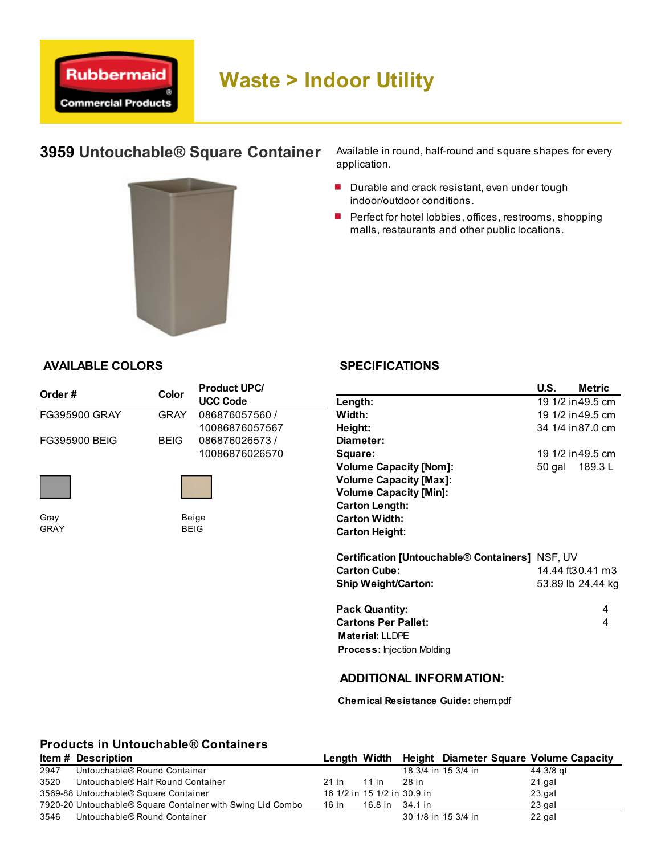

# 3959 Untouchable® Square Container



Available in round, half-round and square shapes for every application.

- Durable and crack resistant, even under tough indoor/outdoor conditions.
- **Perfect for hotel lobbies, offices, restrooms, shopping** malls, restaurants and other public locations.

#### AVAILABLE COLORS

|               |             | <b>Product UPC/</b> |                                                 | U.S.   | Metric            |
|---------------|-------------|---------------------|-------------------------------------------------|--------|-------------------|
| Order #       | Color       | <b>UCC Code</b>     | Length:                                         |        | 19 1/2 in 49.5 cm |
| FG395900 GRAY | <b>GRAY</b> | 086876057560 /      | Width:                                          |        | 19 1/2 in 49.5 cm |
|               |             | 10086876057567      | Height:                                         |        | 34 1/4 in 87.0 cm |
| FG395900 BEIG | <b>BEIG</b> | 086876026573/       | Diameter:                                       |        |                   |
|               |             | 10086876026570      | Square:                                         |        | 19 1/2 in 49.5 cm |
|               |             |                     | <b>Volume Capacity [Nom]:</b>                   | 50 gal | 189.3 L           |
|               |             |                     | <b>Volume Capacity [Max]:</b>                   |        |                   |
|               |             |                     | <b>Volume Capacity [Min]:</b>                   |        |                   |
|               |             |                     | <b>Carton Length:</b>                           |        |                   |
| Gray          |             | Beige               | <b>Carton Width:</b>                            |        |                   |
| GRAY          |             | <b>BEIG</b>         | <b>Carton Height:</b>                           |        |                   |
|               |             |                     | Certification [Untouchable® Containers] NSF, UV |        |                   |
|               |             |                     | <b>Carton Cube:</b>                             |        | 14.44 ft30.41 m3  |
|               |             |                     | <b>Ship Weight/Carton:</b>                      |        | 53.89 lb 24.44 kg |
|               |             |                     | <b>Pack Quantity:</b>                           |        | 4                 |
|               |             |                     | <b>Cartons Per Pallet:</b>                      |        | 4                 |

Material: LLDPE

Process: Injection Molding

### ADDITIONAL INFORMATION:

Chemical Resistance Guide: chem.pdf

## Products in Untouchable® Containers

|      | <b>Item # Description</b>                                  | Length Width                |                 |                     | <b>Height Diameter Square Volume Capacity</b> |           |
|------|------------------------------------------------------------|-----------------------------|-----------------|---------------------|-----------------------------------------------|-----------|
| 2947 | Untouchable® Round Container                               |                             |                 | 18 3/4 in 15 3/4 in |                                               | 44 3/8 gt |
| 3520 | Untouchable® Half Round Container                          | 21 in                       | 11 in           | 28 in               |                                               | 21 gal    |
|      | 3569-88 Untouchable® Square Container                      | 16 1/2 in 15 1/2 in 30.9 in |                 |                     |                                               | 23 gal    |
|      | 7920-20 Untouchable® Square Container with Swing Lid Combo | 16 in                       | 16.8 in 34.1 in |                     |                                               | 23 gal    |
| 3546 | Untouchable® Round Container                               |                             |                 | 30 1/8 in 15 3/4 in |                                               | 22 gal    |

#### **SPECIFICATIONS**